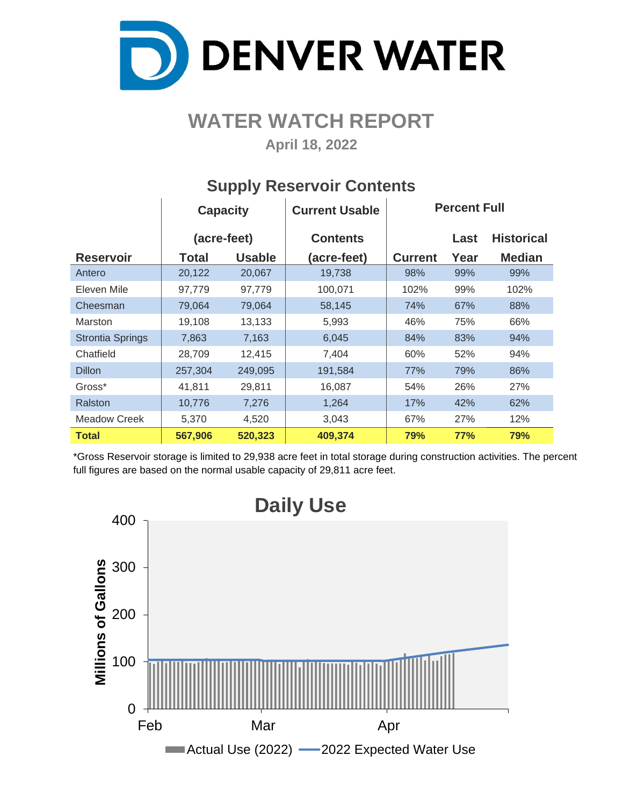

## **WATER WATCH REPORT**

**April 18, 2022**

|                         | <b>Capacity</b> |               | <b>Current Usable</b> | <b>Percent Full</b> |            |                   |  |  |  |
|-------------------------|-----------------|---------------|-----------------------|---------------------|------------|-------------------|--|--|--|
|                         | (acre-feet)     |               | <b>Contents</b>       |                     | Last       | <b>Historical</b> |  |  |  |
| <b>Reservoir</b>        | Total           | <b>Usable</b> | (acre-feet)           | <b>Current</b>      | Year       | <b>Median</b>     |  |  |  |
| Antero                  | 20,122          | 20,067        | 19,738                | 98%                 | 99%        | 99%               |  |  |  |
| Eleven Mile             | 97,779          | 97,779        | 100,071               | 102%                | 99%        | 102%              |  |  |  |
| Cheesman                | 79,064          | 79,064        | 58,145                | 74%                 | 67%        | 88%               |  |  |  |
| <b>Marston</b>          | 19,108          | 13,133        | 5,993                 | 46%                 | 75%        | 66%               |  |  |  |
| <b>Strontia Springs</b> | 7,863           | 7,163         | 6,045                 | 84%                 | 83%        | 94%               |  |  |  |
| Chatfield               | 28,709          | 12,415        | 7,404                 | 60%                 | 52%        | 94%               |  |  |  |
| <b>Dillon</b>           | 257,304         | 249,095       | 191,584               | 77%                 | 79%        | 86%               |  |  |  |
| Gross*                  | 41,811          | 29,811        | 16,087                | 54%                 | 26%        | 27%               |  |  |  |
| Ralston                 | 10,776          | 7,276         | 1,264                 | 17%                 | 42%        | 62%               |  |  |  |
| <b>Meadow Creek</b>     | 5,370           | 4,520         | 3,043                 | 67%                 | 27%        | 12%               |  |  |  |
| <b>Total</b>            | 567,906         | 520,323       | 409,374               | 79%                 | <b>77%</b> | 79%               |  |  |  |

#### **Supply Reservoir Contents**

\*Gross Reservoir storage is limited to 29,938 acre feet in total storage during construction activities. The percent full figures are based on the normal usable capacity of 29,811 acre feet.

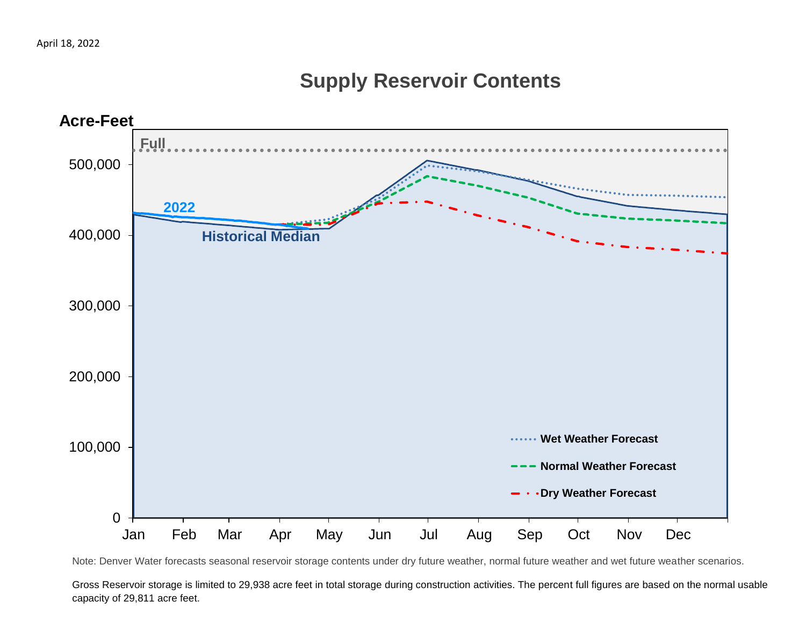## **Supply Reservoir Contents**



Note: Denver Water forecasts seasonal reservoir storage contents under dry future weather, normal future weather and wet future weather scenarios.

Gross Reservoir storage is limited to 29,938 acre feet in total storage during construction activities. The percent full figures are based on the normal usable capacity of 29,811 acre feet.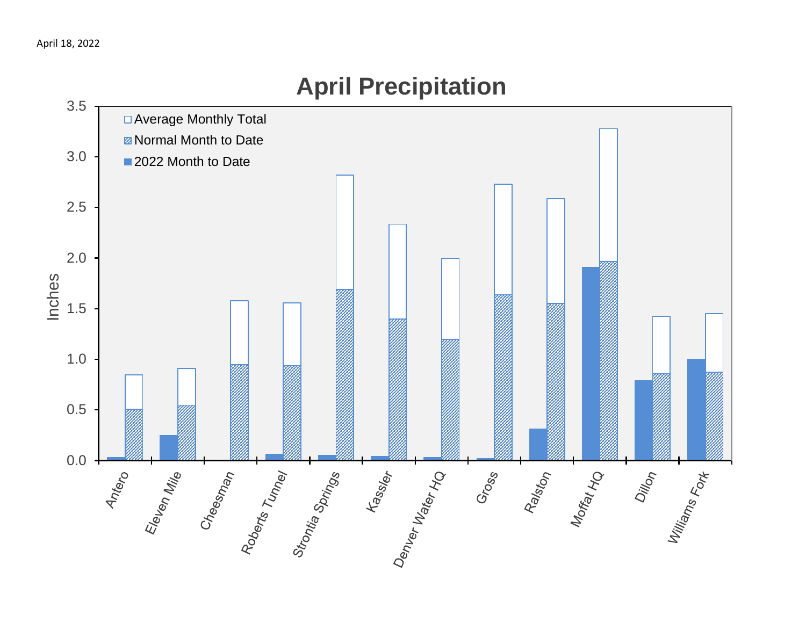

# **April Precipitation**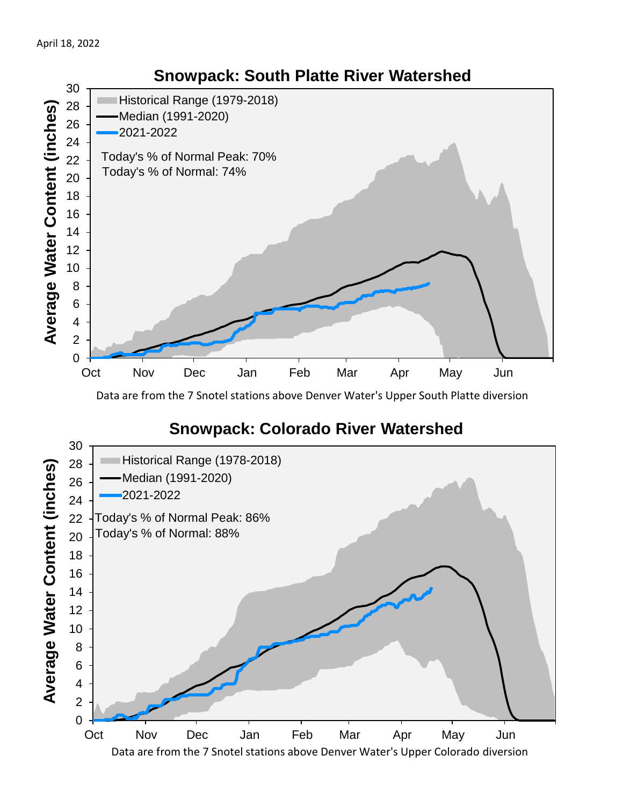

Data are from the 7 Snotel stations above Denver Water's Upper South Platte diversion

### **Snowpack: Colorado River Watershed**

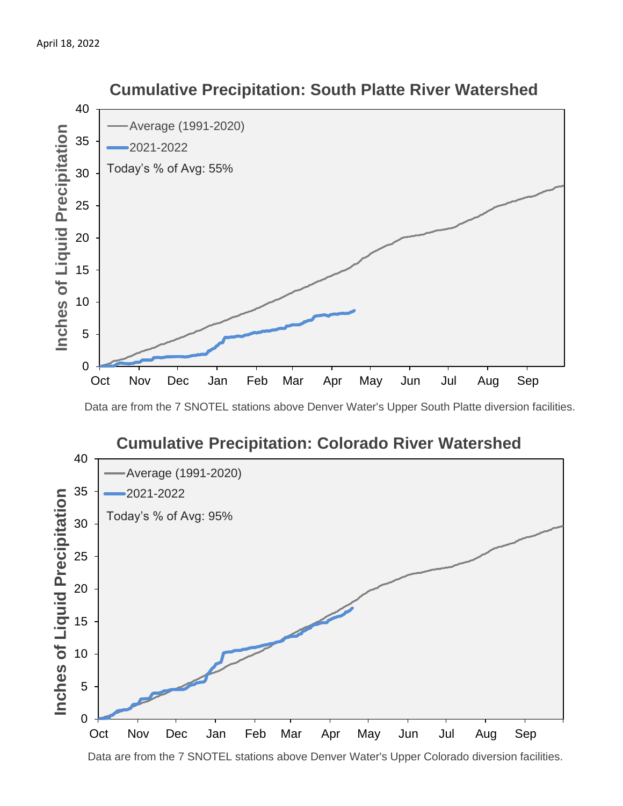

 **Cumulative Precipitation: South Platte River Watershed**

Data are from the 7 SNOTEL stations above Denver Water's Upper South Platte diversion facilities.



Data are from the 7 SNOTEL stations above Denver Water's Upper Colorado diversion facilities.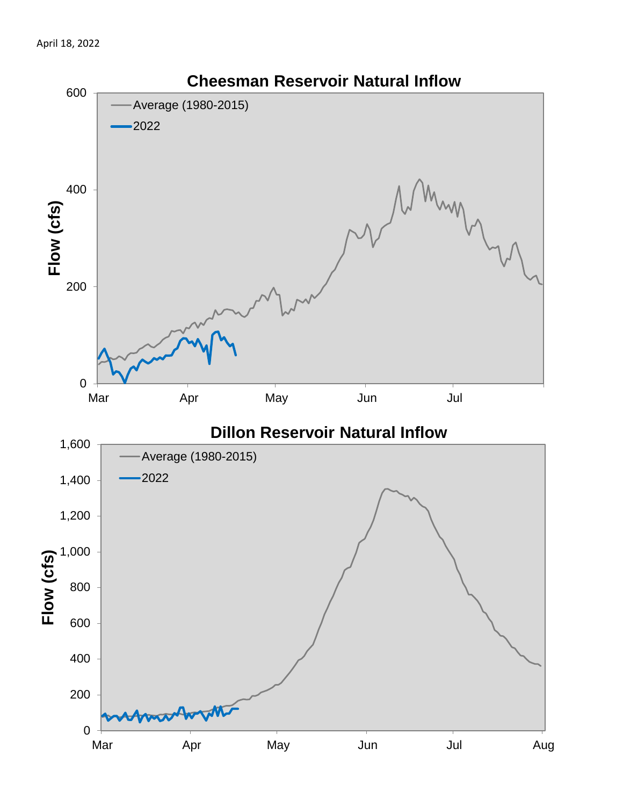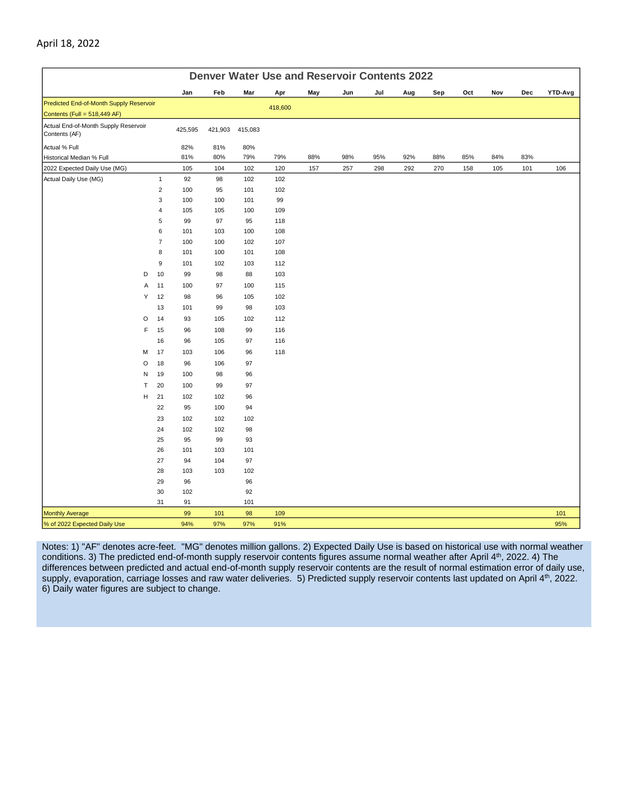|                                                                         | <b>Denver Water Use and Reservoir Contents 2022</b> |         |         |         |         |     |     |     |     |     |     |     |     |         |
|-------------------------------------------------------------------------|-----------------------------------------------------|---------|---------|---------|---------|-----|-----|-----|-----|-----|-----|-----|-----|---------|
|                                                                         |                                                     | Jan     | Feb     | Mar     | Apr     | May | Jun | Jul | Aug | Sep | Oct | Nov | Dec | YTD-Avg |
| Predicted End-of-Month Supply Reservoir<br>Contents (Full = 518,449 AF) |                                                     |         |         |         | 418,600 |     |     |     |     |     |     |     |     |         |
| Actual End-of-Month Supply Reservoir<br>Contents (AF)                   |                                                     | 425,595 | 421,903 | 415,083 |         |     |     |     |     |     |     |     |     |         |
| Actual % Full                                                           |                                                     | 82%     | 81%     | 80%     |         |     |     |     |     |     |     |     |     |         |
| Historical Median % Full                                                |                                                     | 81%     | 80%     | 79%     | 79%     | 88% | 98% | 95% | 92% | 88% | 85% | 84% | 83% |         |
| 2022 Expected Daily Use (MG)                                            |                                                     | 105     | 104     | 102     | 120     | 157 | 257 | 298 | 292 | 270 | 158 | 105 | 101 | 106     |
| Actual Daily Use (MG)                                                   | $\mathbf{1}$                                        | 92      | 98      | 102     | 102     |     |     |     |     |     |     |     |     |         |
|                                                                         | $\mathbf 2$                                         | 100     | 95      | 101     | 102     |     |     |     |     |     |     |     |     |         |
|                                                                         | 3                                                   | 100     | 100     | 101     | 99      |     |     |     |     |     |     |     |     |         |
|                                                                         | 4                                                   | 105     | 105     | 100     | 109     |     |     |     |     |     |     |     |     |         |
|                                                                         | 5                                                   | 99      | 97      | 95      | 118     |     |     |     |     |     |     |     |     |         |
|                                                                         | 6                                                   | 101     | 103     | 100     | 108     |     |     |     |     |     |     |     |     |         |
|                                                                         | $\overline{\mathcal{I}}$                            | 100     | 100     | 102     | 107     |     |     |     |     |     |     |     |     |         |
|                                                                         | 8                                                   | 101     | 100     | 101     | 108     |     |     |     |     |     |     |     |     |         |
|                                                                         | 9                                                   | 101     | 102     | 103     | 112     |     |     |     |     |     |     |     |     |         |
| D                                                                       | 10                                                  | 99      | 98      | 88      | 103     |     |     |     |     |     |     |     |     |         |
| Α                                                                       | 11                                                  | 100     | 97      | 100     | 115     |     |     |     |     |     |     |     |     |         |
| Υ                                                                       | 12                                                  | 98      | 96      | 105     | 102     |     |     |     |     |     |     |     |     |         |
|                                                                         | 13                                                  | 101     | 99      | 98      | 103     |     |     |     |     |     |     |     |     |         |
| O                                                                       | 14                                                  | 93      | 105     | 102     | 112     |     |     |     |     |     |     |     |     |         |
| F                                                                       | 15                                                  | 96      | 108     | 99      | 116     |     |     |     |     |     |     |     |     |         |
|                                                                         | 16                                                  | 96      | 105     | 97      | 116     |     |     |     |     |     |     |     |     |         |
| M                                                                       | 17                                                  | 103     | 106     | 96      | 118     |     |     |     |     |     |     |     |     |         |
| O                                                                       | 18                                                  | 96      | 106     | 97      |         |     |     |     |     |     |     |     |     |         |
| N                                                                       | 19                                                  | 100     | 98      | 96      |         |     |     |     |     |     |     |     |     |         |
| T                                                                       | 20                                                  | 100     | 99      | 97      |         |     |     |     |     |     |     |     |     |         |
| н                                                                       | 21                                                  | 102     | 102     | 96      |         |     |     |     |     |     |     |     |     |         |
|                                                                         | 22                                                  | 95      | 100     | 94      |         |     |     |     |     |     |     |     |     |         |
|                                                                         | 23                                                  | 102     | 102     | 102     |         |     |     |     |     |     |     |     |     |         |
|                                                                         | 24                                                  | 102     | 102     | 98      |         |     |     |     |     |     |     |     |     |         |
|                                                                         | 25                                                  | 95      | 99      | 93      |         |     |     |     |     |     |     |     |     |         |
|                                                                         | 26                                                  | 101     | 103     | 101     |         |     |     |     |     |     |     |     |     |         |
|                                                                         | 27                                                  | 94      | 104     | 97      |         |     |     |     |     |     |     |     |     |         |
|                                                                         | 28                                                  | 103     | 103     | 102     |         |     |     |     |     |     |     |     |     |         |
|                                                                         | 29                                                  | 96      |         | 96      |         |     |     |     |     |     |     |     |     |         |
|                                                                         | 30                                                  | 102     |         | 92      |         |     |     |     |     |     |     |     |     |         |
|                                                                         | 31                                                  | 91      |         | 101     |         |     |     |     |     |     |     |     |     |         |
| <b>Monthly Average</b>                                                  |                                                     | 99      | 101     | 98      | 109     |     |     |     |     |     |     |     |     | 101     |
| % of 2022 Expected Daily Use                                            |                                                     | 94%     | 97%     | 97%     | 91%     |     |     |     |     |     |     |     |     | 95%     |

Notes: 1) "AF" denotes acre-feet. "MG" denotes million gallons. 2) Expected Daily Use is based on historical use with normal weather conditions. 3) The predicted end-of-month supply reservoir contents figures assume normal weather after April 4th, 2022. 4) The differences between predicted and actual end-of-month supply reservoir contents are the result of normal estimation error of daily use, supply, evaporation, carriage losses and raw water deliveries. 5) Predicted supply reservoir contents last updated on April 4<sup>th</sup>, 2022. 6) Daily water figures are subject to change.